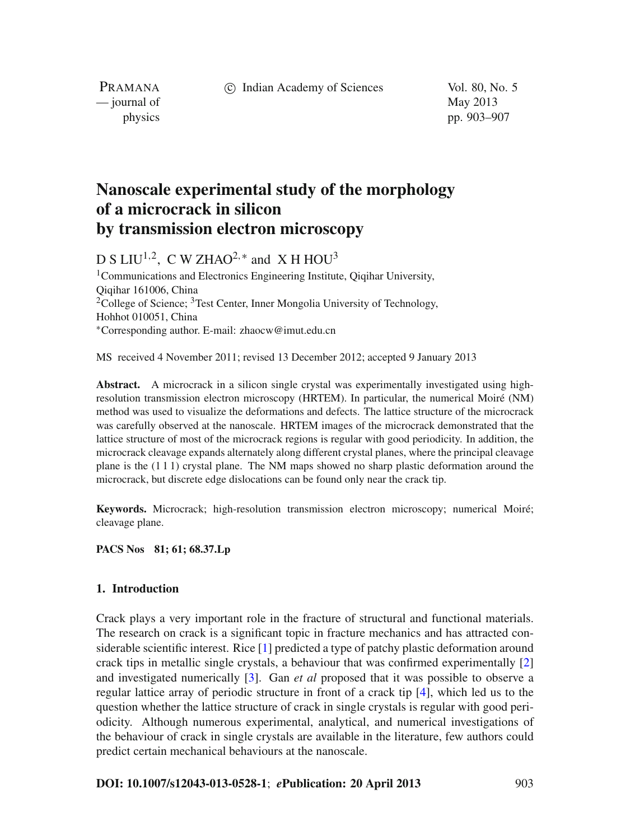c Indian Academy of Sciences Vol. 80, No. 5

PRAMANA — journal of May 2013

physics pp. 903–907

# **Nanoscale experimental study of the morphology of a microcrack in silicon by transmission electron microscopy**

D S LIU<sup>1,2</sup>, C W ZHAO<sup>2,\*</sup> and X H HOU<sup>3</sup>

1Communications and Electronics Engineering Institute, Qiqihar University, Qiqihar 161006, China <sup>2</sup>College of Science;  ${}^{3}$ Test Center, Inner Mongolia University of Technology, Hohhot 010051, China <sup>∗</sup>Corresponding author. E-mail: zhaocw@imut.edu.cn

MS received 4 November 2011; revised 13 December 2012; accepted 9 January 2013

**Abstract.** A microcrack in a silicon single crystal was experimentally investigated using highresolution transmission electron microscopy (HRTEM). In particular, the numerical Moiré (NM) method was used to visualize the deformations and defects. The lattice structure of the microcrack was carefully observed at the nanoscale. HRTEM images of the microcrack demonstrated that the lattice structure of most of the microcrack regions is regular with good periodicity. In addition, the microcrack cleavage expands alternately along different crystal planes, where the principal cleavage plane is the (1 1 1) crystal plane. The NM maps showed no sharp plastic deformation around the microcrack, but discrete edge dislocations can be found only near the crack tip.

**Keywords.** Microcrack; high-resolution transmission electron microscopy; numerical Moiré; cleavage plane.

# **PACS Nos 81; 61; 68.37.Lp**

#### **1. Introduction**

Crack plays a very important role in the fracture of structural and functional materials. The research on crack is a significant topic in fracture mechanics and has attracted considerable scientific interest. Rice [\[1](#page-4-0)] predicted a type of patchy plastic deformation around crack tips in metallic single crystals, a behaviour that was confirmed experimentally [\[2\]](#page-4-1) and investigated numerically [\[3](#page-4-2)]. Gan *et al* proposed that it was possible to observe a regular lattice array of periodic structure in front of a crack tip [\[4](#page-4-3)], which led us to the question whether the lattice structure of crack in single crystals is regular with good periodicity. Although numerous experimental, analytical, and numerical investigations of the behaviour of crack in single crystals are available in the literature, few authors could predict certain mechanical behaviours at the nanoscale.

## **DOI: 10.1007/s12043-013-0528-1**; *e***Publication: 20 April 2013** 903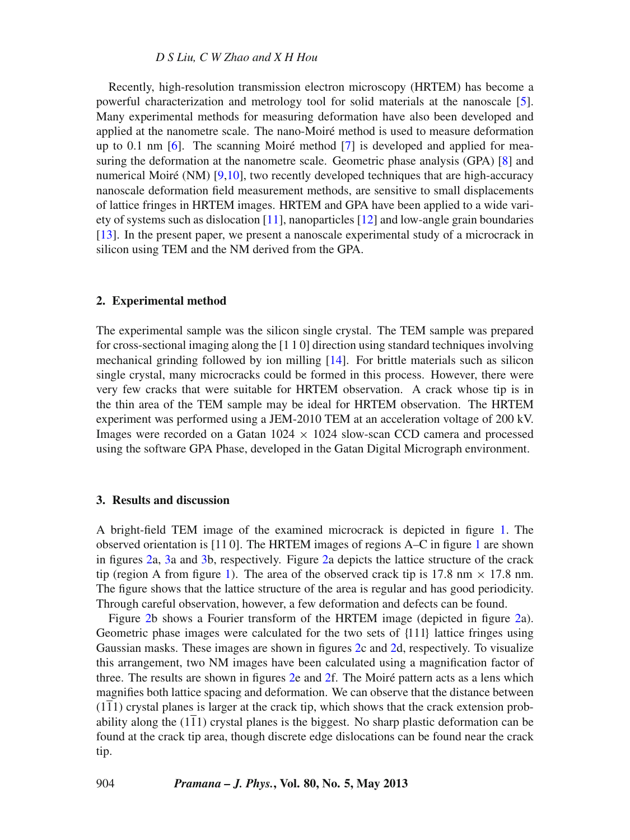#### *D S Liu, C W Zhao and X H Hou*

Recently, high-resolution transmission electron microscopy (HRTEM) has become a powerful characterization and metrology tool for solid materials at the nanoscale [\[5](#page-4-4)]. Many experimental methods for measuring deformation have also been developed and applied at the nanometre scale. The nano-Moiré method is used to measure deformation up to 0.1 nm [\[6\]](#page-4-5). The scanning Moiré method [\[7](#page-4-6)] is developed and applied for measuring the deformation at the nanometre scale. Geometric phase analysis (GPA) [\[8\]](#page-4-7) and numerical Moiré (NM) [\[9](#page-4-8)[,10\]](#page-4-9), two recently developed techniques that are high-accuracy nanoscale deformation field measurement methods, are sensitive to small displacements of lattice fringes in HRTEM images. HRTEM and GPA have been applied to a wide variety of systems such as dislocation [\[11](#page-4-10)], nanoparticles [\[12](#page-4-11)] and low-angle grain boundaries [\[13](#page-4-12)]. In the present paper, we present a nanoscale experimental study of a microcrack in silicon using TEM and the NM derived from the GPA.

#### **2. Experimental method**

The experimental sample was the silicon single crystal. The TEM sample was prepared for cross-sectional imaging along the [1 1 0] direction using standard techniques involving mechanical grinding followed by ion milling [\[14](#page-4-13)]. For brittle materials such as silicon single crystal, many microcracks could be formed in this process. However, there were very few cracks that were suitable for HRTEM observation. A crack whose tip is in the thin area of the TEM sample may be ideal for HRTEM observation. The HRTEM experiment was performed using a JEM-2010 TEM at an acceleration voltage of 200 kV. Images were recorded on a Gatan  $1024 \times 1024$  slow-scan CCD camera and processed using the software GPA Phase, developed in the Gatan Digital Micrograph environment.

## **3. Results and discussion**

A bright-field TEM image of the examined microcrack is depicted in figure [1.](#page-2-0) The observed orientation is [11 0]. The HRTEM images of regions A–C in figure [1](#page-2-0) are shown in figures [2a](#page-2-1), [3a](#page-3-0) and [3b](#page-3-0), respectively. Figure [2a](#page-2-1) depicts the lattice structure of the crack tip (region A from figure [1\)](#page-2-0). The area of the observed crack tip is 17.8 nm  $\times$  17.8 nm. The figure shows that the lattice structure of the area is regular and has good periodicity. Through careful observation, however, a few deformation and defects can be found.

Figure [2b](#page-2-1) shows a Fourier transform of the HRTEM image (depicted in figure [2a](#page-2-1)). Geometric phase images were calculated for the two sets of {111} lattice fringes using Gaussian masks. These images are shown in figures [2c](#page-2-1) and [2d](#page-2-1), respectively. To visualize this arrangement, two NM images have been calculated using a magnification factor of three. The results are shown in figures [2e](#page-2-1) and [2f](#page-2-1). The Moiré pattern acts as a lens which magnifies both lattice spacing and deformation. We can observe that the distance between (111) crystal planes is larger at the crack tip, which shows that the crack extension probability along the (111) crystal planes is the biggest. No sharp plastic deformation can be found at the crack tip area, though discrete edge dislocations can be found near the crack tip.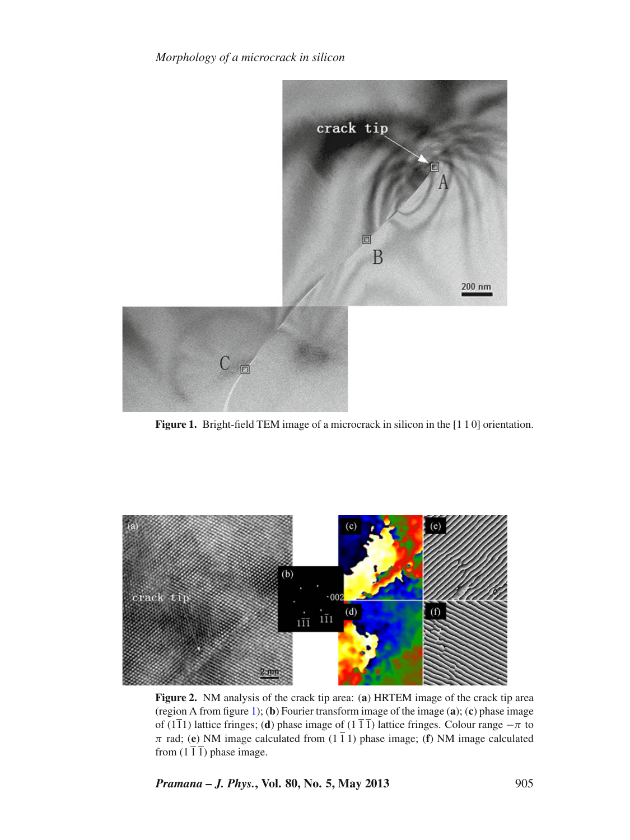*Morphology of a microcrack in silicon*

<span id="page-2-0"></span>

Figure 1. Bright-field TEM image of a microcrack in silicon in the [1 1 0] orientation.

<span id="page-2-1"></span>

**Figure 2.** NM analysis of the crack tip area: (**a**) HRTEM image of the crack tip area (region A from figure [1\)](#page-2-0); (**b**) Fourier transform image of the image (**a**); (**c**) phase image of (1 $\overline{11}$ ) lattice fringes; (**d**) phase image of (1 $\overline{11}$ ) lattice fringes. Colour range  $-\pi$  to  $\pi$  rad; (**e**) NM image calculated from (1  $\overline{1}$  1) phase image; (**f**) NM image calculated from  $(1\overline{1}\overline{1})$  phase image.

*Pramana – J. Phys.***, Vol. 80, No. 5, May 2013** 905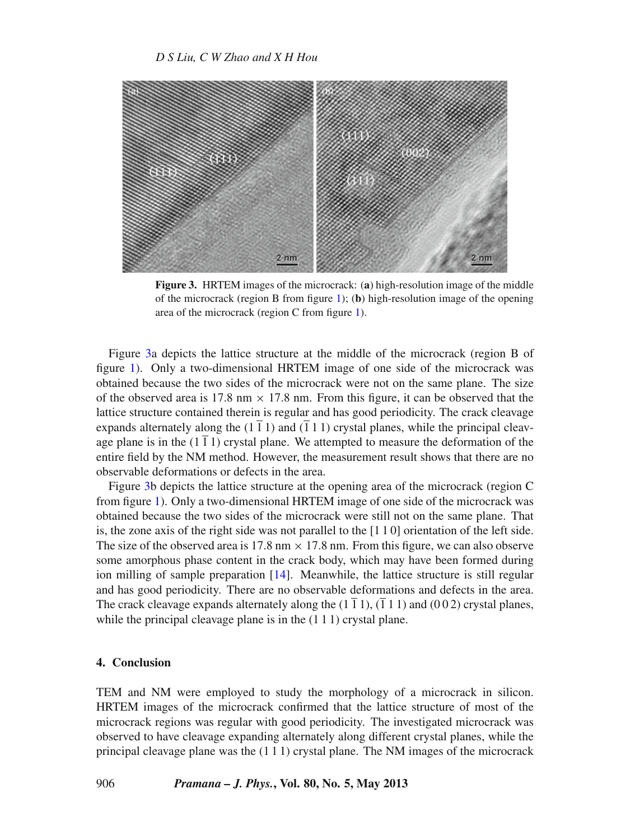<span id="page-3-0"></span>

**Figure 3.** HRTEM images of the microcrack: (**a**) high-resolution image of the middle of the microcrack (region B from figure [1\)](#page-2-0); (**b**) high-resolution image of the opening area of the microcrack (region C from figure [1\)](#page-2-0).

Figure [3a](#page-3-0) depicts the lattice structure at the middle of the microcrack (region B of figure [1\)](#page-2-0). Only a two-dimensional HRTEM image of one side of the microcrack was obtained because the two sides of the microcrack were not on the same plane. The size of the observed area is 17.8 nm  $\times$  17.8 nm. From this figure, it can be observed that the lattice structure contained therein is regular and has good periodicity. The crack cleavage expands alternately along the  $(1\bar{1}1)$  and  $(\bar{1}11)$  crystal planes, while the principal cleavage plane is in the  $(1\bar{1}1)$  crystal plane. We attempted to measure the deformation of the entire field by the NM method. However, the measurement result shows that there are no observable deformations or defects in the area.

Figure [3b](#page-3-0) depicts the lattice structure at the opening area of the microcrack (region C from figure [1\)](#page-2-0). Only a two-dimensional HRTEM image of one side of the microcrack was obtained because the two sides of the microcrack were still not on the same plane. That is, the zone axis of the right side was not parallel to the [1 1 0] orientation of the left side. The size of the observed area is 17.8 nm  $\times$  17.8 nm. From this figure, we can also observe some amorphous phase content in the crack body, which may have been formed during ion milling of sample preparation [\[14\]](#page-4-13). Meanwhile, the lattice structure is still regular and has good periodicity. There are no observable deformations and defects in the area. The crack cleavage expands alternately along the  $(1\bar{1}1), (\bar{1}11)$  and  $(0\bar{0}2)$  crystal planes, while the principal cleavage plane is in the  $(1 1 1)$  crystal plane.

#### **4. Conclusion**

TEM and NM were employed to study the morphology of a microcrack in silicon. HRTEM images of the microcrack confirmed that the lattice structure of most of the microcrack regions was regular with good periodicity. The investigated microcrack was observed to have cleavage expanding alternately along different crystal planes, while the principal cleavage plane was the (1 1 1) crystal plane. The NM images of the microcrack